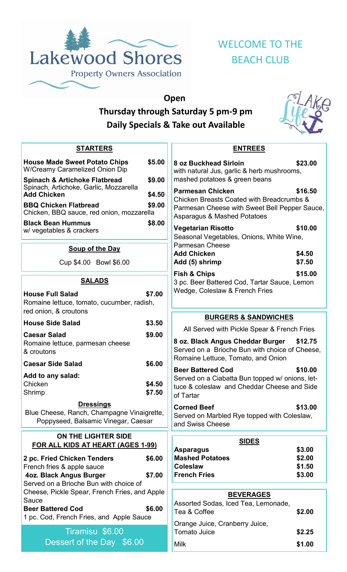

# WELCOME TO THE BEACH CLUB

## **Open Thursday through Saturday 5 pm-9 pm Daily Specials & Take out Available**



| <b>STARTERS</b>                                                                                                                |                  |                                                 |
|--------------------------------------------------------------------------------------------------------------------------------|------------------|-------------------------------------------------|
| <b>House Made Sweet Potato Chips</b><br><b>W/Creamy Caramelized Onion Dip</b>                                                  | \$5.00           | 8 oz E<br>with n                                |
| <b>Spinach &amp; Artichoke Flatbread</b><br>Spinach, Artichoke, Garlic, Mozzarella<br><b>Add Chicken</b>                       | \$9.00<br>\$4.50 | mash<br>Parm                                    |
| <b>BBQ Chicken Flatbread</b><br>Chicken, BBQ sauce, red onion, mozzarella                                                      | \$9.00           | <b>Chick</b><br>Parme<br>Aspar                  |
| <b>Black Bean Hummus</b><br>w/ vegetables & crackers                                                                           | \$8.00           | Veget<br>Seaso                                  |
| <b>Soup of the Day</b>                                                                                                         |                  | Parme<br>Add O                                  |
| Cup \$4.00 Bowl \$6.00                                                                                                         |                  | Add (                                           |
| <u>SALADS</u>                                                                                                                  |                  | Fish &<br>3 pc.                                 |
| <b>House Full Salad</b><br>Romaine lettuce, tomato, cucumber, radish,<br>red onion, & croutons                                 | \$7.00           | Wedg                                            |
| <b>House Side Salad</b>                                                                                                        | \$3.50           |                                                 |
| <b>Caesar Salad</b><br>Romaine lettuce, parmesan cheese<br>& croutons                                                          | \$9.00           | All<br>8 oz.<br>Serve                           |
| <b>Caesar Side Salad</b>                                                                                                       | \$6.00           | Roma                                            |
| Add to any salad:<br>Chicken<br>Shrimp                                                                                         | \$4.50<br>\$7.50 | <b>Beer</b><br>Serve<br>tuce $\delta$<br>of Tar |
| <b>Dressings</b><br>Blue Cheese, Ranch, Champagne Vinaigrette,<br>Poppyseed, Balsamic Vinegar, Caesar                          |                  | <b>Corne</b><br>Serve<br>and S                  |
| ON THE LIGHTER SIDE<br><b>FOR ALL KIDS AT HEART (AGES 1-99)</b>                                                                |                  | Aspa                                            |
| 2 pc. Fried Chicken Tenders<br>French fries & apple sauce<br>4oz. Black Angus Burger<br>Served on a Brioche Bun with choice of | \$6.00<br>\$7.00 | <b>Mash</b><br><b>Coles</b><br><b>Frenc</b>     |
| Cheese, Pickle Spear, French Fries, and Apple<br>Sauce                                                                         |                  |                                                 |
| <b>Beer Battered Cod</b><br>1 pc. Cod, French Fries, and Apple Sauce                                                           | \$6.00           | Assor<br>Tea 8                                  |
| Tiramisu \$6.00<br>Dessert of the Day \$6.00                                                                                   |                  | Orang<br>Toma<br>Milk                           |
|                                                                                                                                |                  |                                                 |

| <b>ENTREES</b>                                                                                                                                       |                  |  |  |  |
|------------------------------------------------------------------------------------------------------------------------------------------------------|------------------|--|--|--|
| <b>8 oz Buckhead Sirloin</b><br>with natural Jus, garlic & herb mushrooms,<br>mashed potatoes & green beans                                          | \$23.00          |  |  |  |
| <b>Parmesan Chicken</b><br>Chicken Breasts Coated with Breadcrumbs &<br>Parmesan Cheese with Sweet Bell Pepper Sauce,<br>Asparagus & Mashed Potatoes | \$16.50          |  |  |  |
| Vegetarian Risotto<br>Seasonal Vegetables, Onions, White Wine,<br><b>Parmesan Cheese</b>                                                             | \$10.00          |  |  |  |
| <b>Add Chicken</b><br>Add (5) shrimp                                                                                                                 | \$4.50<br>\$7.50 |  |  |  |
| Fish & Chips<br>3 pc. Beer Battered Cod, Tartar Sauce, Lemon<br>Wedge, Coleslaw & French Fries                                                       | \$15.00          |  |  |  |
| <b>BURGERS &amp; SANDWICHES</b>                                                                                                                      |                  |  |  |  |
| All Served with Pickle Spear & French Fries                                                                                                          |                  |  |  |  |
| 8 oz. Black Angus Cheddar Burger \$12.75<br>Served on a Brioche Bun with choice of Cheese,<br>Romaine Lettuce, Tomato, and Onion                     |                  |  |  |  |
| <b>Beer Battered Cod</b><br>Served on a Ciabatta Bun topped w/ onions, let-<br>tuce & coleslaw and Cheddar Cheese and Side<br>of Tartar              | \$10.00          |  |  |  |
| <b>Corned Beef</b><br>Served on Marbled Rye topped with Coleslaw,<br>and Swiss Cheese                                                                | \$13.00          |  |  |  |
| <u>SIDES</u>                                                                                                                                         |                  |  |  |  |
| Asparagus                                                                                                                                            | \$3.00           |  |  |  |
| <b>Mashed Potatoes</b>                                                                                                                               | \$2.00           |  |  |  |
| <b>Coleslaw</b><br><b>French Fries</b>                                                                                                               | \$1.50<br>\$3.00 |  |  |  |
|                                                                                                                                                      |                  |  |  |  |
| <u>BEVERAGES</u><br>Assorted Sodas, Iced Tea, Lemonade,                                                                                              |                  |  |  |  |

| , woontou Oouao, roou Tou, Lonnonauo,<br>Tea & Coffee | \$2.00 |
|-------------------------------------------------------|--------|
| Orange Juice, Cranberry Juice,<br>Tomato Juice        | \$2.25 |
| Milk                                                  | \$1.00 |